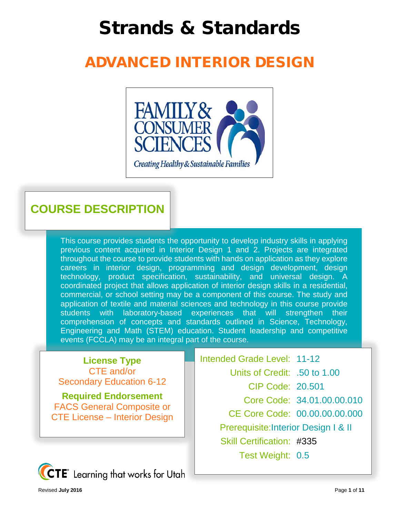# Strands & Standards

## ADVANCED INTERIOR DESIGN



### **COURSE DESCRIPTION**

This course provides students the opportunity to develop industry skills in applying previous content acquired in Interior Design 1 and 2. Projects are integrated throughout the course to provide students with hands on application as they explore careers in interior design, programming and design development, design technology, product specification, sustainability, and universal design. A coordinated project that allows application of interior design skills in a residential, commercial, or school setting may be a component of this course. The study and application of textile and material sciences and technology in this course provide students with laboratory-based experiences that will strengthen their comprehension of concepts and standards outlined in Science, Technology, Engineering and Math (STEM) education. Student leadership and competitive events (FCCLA) may be an integral part of the course.

**License Type** CTE and/or Secondary Education 6-12

**Required Endorsement** FACS General Composite or CTE License – Interior Design Intended Grade Level: 11-12 Units of Credit: .50 to 1.00 CIP Code: 20.501 Core Code: 34.01.00.00.010 CE Core Code: 00.00.00.00.000 Prerequisite:Interior Design I & II Skill Certification: #335 Test Weight: 0.5

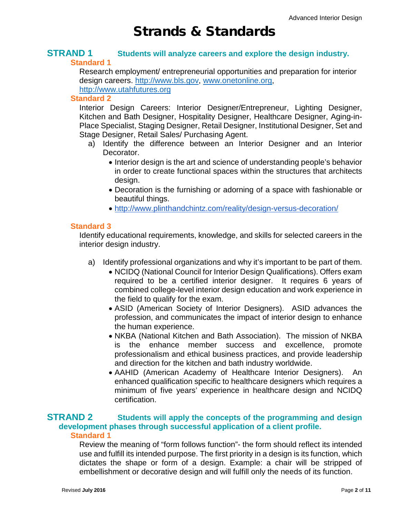## Strands & Standards

#### **STRAND 1 Students will analyze careers and explore the design industry. Standard 1**

Research employment/ entrepreneurial opportunities and preparation for interior design careers. [http://www.bls.gov,](http://www.bls.gov/) [www.onetonline.org,](http://www.onetonline.org/) [http://www.utahfutures.org](http://www.utahfutures.org/) 

#### **Standard 2**

Interior Design Careers: Interior Designer/Entrepreneur, Lighting Designer, Kitchen and Bath Designer, Hospitality Designer, Healthcare Designer, Aging-in-Place Specialist, Staging Designer, Retail Designer, Institutional Designer, Set and Stage Designer, Retail Sales/ Purchasing Agent.

- a) Identify the difference between an Interior Designer and an Interior Decorator.
	- Interior design is the art and science of understanding people's behavior in order to create functional spaces within the structures that architects design.
	- Decoration is the furnishing or adorning of a space with fashionable or beautiful things.
	- <http://www.plinthandchintz.com/reality/design-versus-decoration/>

#### **Standard 3**

Identify educational requirements, knowledge, and skills for selected careers in the interior design industry.

- a) Identify professional organizations and why it's important to be part of them.
	- NCIDQ (National Council for Interior Design Qualifications). Offers exam required to be a certified interior designer. It requires 6 years of combined college-level interior design education and work experience in the field to qualify for the exam.
	- ASID (American Society of Interior Designers). ASID advances the profession, and communicates the impact of interior design to enhance the human experience.
	- NKBA (National Kitchen and Bath Association). The mission of NKBA is the enhance member success and excellence, promote professionalism and ethical business practices, and provide leadership and direction for the kitchen and bath industry worldwide.
	- AAHID (American Academy of Healthcare Interior Designers). An enhanced qualification specific to healthcare designers which requires a minimum of five years' experience in healthcare design and NCIDQ certification.

#### **STRAND 2 Students will apply the concepts of the programming and design development phases through successful application of a client profile. Standard 1**

Review the meaning of "form follows function"- the form should reflect its intended use and fulfill its intended purpose. The first priority in a design is its function, which dictates the shape or form of a design. Example: a chair will be stripped of embellishment or decorative design and will fulfill only the needs of its function.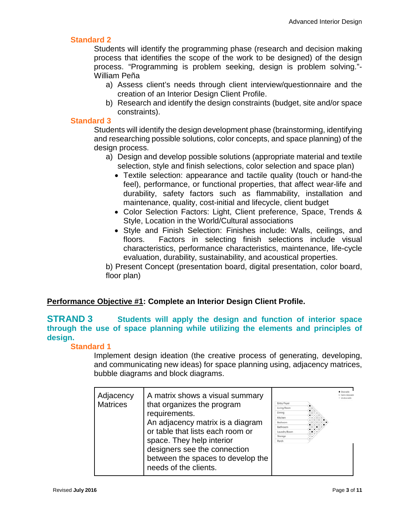#### **Standard 2**

Students will identify the programming phase (research and decision making process that identifies the scope of the work to be designed) of the design process. "Programming is problem seeking, design is problem solving."- William Peña

- a) Assess client's needs through client interview/questionnaire and the creation of an Interior Design Client Profile.
- b) Research and identify the design constraints (budget, site and/or space constraints).

#### **Standard 3**

Students will identify the design development phase (brainstorming, identifying and researching possible solutions, color concepts, and space planning) of the design process.

- a) Design and develop possible solutions (appropriate material and textile selection, style and finish selections, color selection and space plan)
	- Textile selection: appearance and tactile quality (touch or hand-the feel), performance, or functional properties, that affect wear-life and durability, safety factors such as flammability, installation and maintenance, quality, cost-initial and lifecycle, client budget
	- Color Selection Factors: Light, Client preference, Space, Trends & Style, Location in the World/Cultural associations
	- Style and Finish Selection: Finishes include: Walls, ceilings, and floors. Factors in selecting finish selections include visual characteristics, performance characteristics, maintenance, life-cycle evaluation, durability, sustainability, and acoustical properties.

b) Present Concept (presentation board, digital presentation, color board, floor plan)

#### **Performance Objective #1: Complete an Interior Design Client Profile.**

#### **STRAND 3 Students will apply the design and function of interior space through the use of space planning while utilizing the elements and principles of design.**

#### **Standard 1**

Implement design ideation (the creative process of generating, developing, and communicating new ideas) for space planning using, adjacency matrices, bubble diagrams and block diagrams.

| Adjacency<br><b>Matrices</b> | A matrix shows a visual summary<br>that organizes the program<br>requirements.<br>An adjacency matrix is a diagram<br>or table that lists each room or<br>space. They help interior<br>designers see the connection<br>between the spaces to develop the<br>needs of the clients. | <b>Entry Foyer</b><br>Living Room<br>Dining<br>Kitchen<br><b>Bedroom</b><br>Bathroom<br>Laundry Room<br>Storage<br>Porch |  | · Desirable |
|------------------------------|-----------------------------------------------------------------------------------------------------------------------------------------------------------------------------------------------------------------------------------------------------------------------------------|--------------------------------------------------------------------------------------------------------------------------|--|-------------|
|------------------------------|-----------------------------------------------------------------------------------------------------------------------------------------------------------------------------------------------------------------------------------------------------------------------------------|--------------------------------------------------------------------------------------------------------------------------|--|-------------|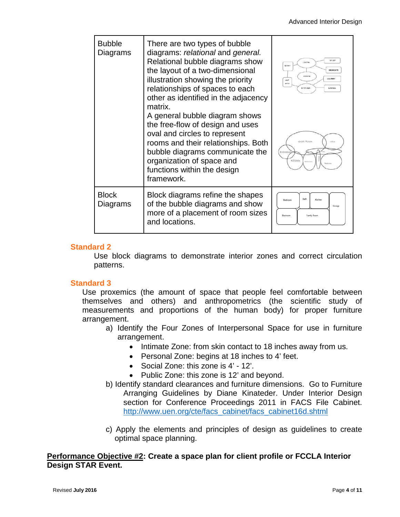| <b>Bubble</b><br>Diagrams | There are two types of bubble<br>diagrams: relational and general.<br>Relational bubble diagrams show<br>the layout of a two-dimensional<br>illustration showing the priority<br>relationships of spaces to each<br>other as identified in the adjacency<br>matrix.<br>A general bubble diagram shows<br>the free-flow of design and uses<br>oval and circles to represent<br>rooms and their relationships. Both<br>bubble diagrams communicate the<br>organization of space and<br>functions within the design<br>framework. | STLER<br><b>LTVING</b><br>Detter<br>BEZROOF IS<br><b>DINDY</b><br>LAURERY<br><b>Liste P</b><br><b>BATH</b><br><b>KITCLEN</b><br>CARACTE<br><b>Great Room</b><br>cilla<br>Ewtygwa<br>Kitchen<br>Batisycon<br>Bedroom |
|---------------------------|--------------------------------------------------------------------------------------------------------------------------------------------------------------------------------------------------------------------------------------------------------------------------------------------------------------------------------------------------------------------------------------------------------------------------------------------------------------------------------------------------------------------------------|---------------------------------------------------------------------------------------------------------------------------------------------------------------------------------------------------------------------|
| <b>Block</b><br>Diagrams  | Block diagrams refine the shapes<br>of the bubble diagrams and show<br>more of a placement of room sizes<br>and locations.                                                                                                                                                                                                                                                                                                                                                                                                     | Bath<br>Kitchen<br>Redroom<br>Garage<br>Badroom<br>Family Room                                                                                                                                                      |

#### **Standard 2**

Use block diagrams to demonstrate interior zones and correct circulation patterns.

#### **Standard 3**

Use proxemics (the amount of space that people feel comfortable between themselves and others) and anthropometrics (the scientific study of measurements and proportions of the human body) for proper furniture arrangement.

- a) Identify the Four Zones of Interpersonal Space for use in furniture arrangement.
	- Intimate Zone: from skin contact to 18 inches away from us.
	- Personal Zone: begins at 18 inches to 4' feet.
	- Social Zone: this zone is 4' 12'.
	- Public Zone: this zone is 12' and beyond.
- b) Identify standard clearances and furniture dimensions. Go to Furniture Arranging Guidelines by Diane Kinateder. Under Interior Design section for Conference Proceedings 2011 in FACS File Cabinet. [http://www.uen.org/cte/facs\\_cabinet/facs\\_cabinet16d.shtml](http://www.uen.org/cte/facs_cabinet/facs_cabinet16d.shtml)
- c) Apply the elements and principles of design as guidelines to create optimal space planning.

#### **Performance Objective #2: Create a space plan for client profile or FCCLA Interior Design STAR Event.**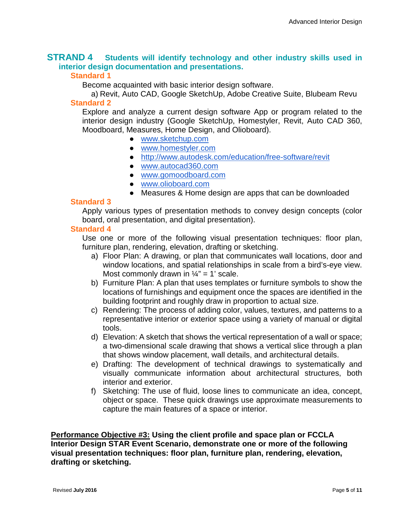#### **STRAND 4 Students will identify technology and other industry skills used in interior design documentation and presentations.**

#### **Standard 1**

Become acquainted with basic interior design software.

a) Revit, Auto CAD, Google SketchUp, Adobe Creative Suite, Blubeam Revu **Standard 2**

Explore and analyze a current design software App or program related to the interior design industry (Google SketchUp, Homestyler, Revit, Auto CAD 360, Moodboard, Measures, Home Design, and Olioboard).

- [www.sketchup.com](http://www.sketchup.com/)
- [www.homestyler.com](http://www.homestyler.com/)
- <http://www.autodesk.com/education/free-software/revit>
- [www.autocad360.com](http://www.autocad360.com/)
- [www.gomoodboard.com](http://www.gomoodboard.com/)
- [www.olioboard.com](http://www.olioboard.com/)
- Measures & Home design are apps that can be downloaded

#### **Standard 3**

Apply various types of presentation methods to convey design concepts (color board, oral presentation, and digital presentation).

#### **Standard 4**

Use one or more of the following visual presentation techniques: floor plan, furniture plan, rendering, elevation, drafting or sketching.

- a) Floor Plan: A drawing, or plan that communicates wall locations, door and window locations, and spatial relationships in scale from a bird's-eye view. Most commonly drawn in  $\frac{1}{4}$ " = 1' scale.
- b) Furniture Plan: A plan that uses templates or furniture symbols to show the locations of furnishings and equipment once the spaces are identified in the building footprint and roughly draw in proportion to actual size.
- c) Rendering: The process of adding color, values, textures, and patterns to a representative interior or exterior space using a variety of manual or digital tools.
- d) Elevation: A sketch that shows the vertical representation of a wall or space; a two-dimensional scale drawing that shows a vertical slice through a plan that shows window placement, wall details, and architectural details.
- e) Drafting: The development of technical drawings to systematically and visually communicate information about architectural structures, both interior and exterior.
- f) Sketching: The use of fluid, loose lines to communicate an idea, concept, object or space. These quick drawings use approximate measurements to capture the main features of a space or interior.

**Performance Objective #3: Using the client profile and space plan or FCCLA Interior Design STAR Event Scenario, demonstrate one or more of the following visual presentation techniques: floor plan, furniture plan, rendering, elevation, drafting or sketching.**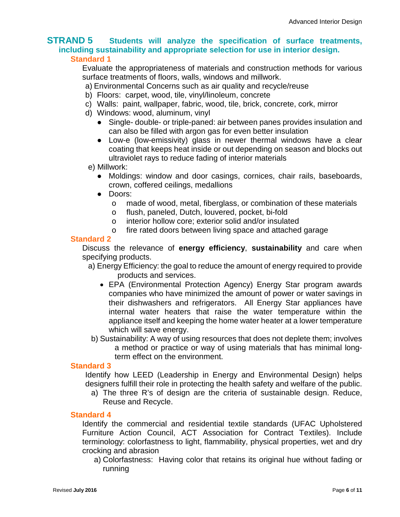#### **STRAND 5 Students will analyze the specification of surface treatments, including sustainability and appropriate selection for use in interior design. Standard 1**

Evaluate the appropriateness of materials and construction methods for various surface treatments of floors, walls, windows and millwork.

- a) Environmental Concerns such as air quality and recycle/reuse
- b) Floors: carpet, wood, tile, vinyl/linoleum, concrete
- c) Walls: paint, wallpaper, fabric, wood, tile, brick, concrete, cork, mirror
- d) Windows: wood, aluminum, vinyl
	- Single- double- or triple-paned: air between panes provides insulation and can also be filled with argon gas for even better insulation
	- Low-e (low-emissivity) glass in newer thermal windows have a clear coating that keeps heat inside or out depending on season and blocks out ultraviolet rays to reduce fading of interior materials
- e) Millwork:
	- Moldings: window and door casings, cornices, chair rails, baseboards, crown, coffered ceilings, medallions
	- Doors:
		- o made of wood, metal, fiberglass, or combination of these materials
		- o flush, paneled, Dutch, louvered, pocket, bi-fold
		- o interior hollow core; exterior solid and/or insulated
		- o fire rated doors between living space and attached garage

#### **Standard 2**

Discuss the relevance of **energy efficiency**, **sustainability** and care when specifying products.

- a) Energy Efficiency: the goal to reduce the amount of energy required to provide products and services.
	- EPA (Environmental Protection Agency) Energy Star program awards companies who have minimized the amount of power or water savings in their dishwashers and refrigerators. All Energy Star appliances have internal water heaters that raise the water temperature within the appliance itself and keeping the home water heater at a lower temperature which will save energy.
- b) Sustainability: A way of using resources that does not deplete them; involves a method or practice or way of using materials that has minimal longterm effect on the environment.

#### **Standard 3**

Identify how LEED (Leadership in Energy and Environmental Design) helps designers fulfill their role in protecting the health safety and welfare of the public.

a) The three R's of design are the criteria of sustainable design. Reduce, Reuse and Recycle.

#### **Standard 4**

Identify the commercial and residential textile standards (UFAC Upholstered Furniture Action Council, ACT Association for Contract Textiles). Include terminology: colorfastness to light, flammability, physical properties, wet and dry crocking and abrasion

a) Colorfastness: Having color that retains its original hue without fading or running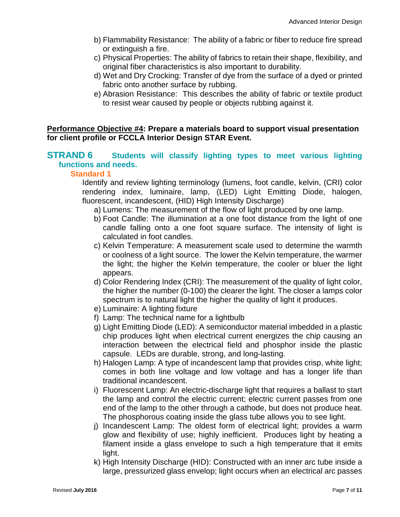- b) Flammability Resistance: The ability of a fabric or fiber to reduce fire spread or extinguish a fire.
- c) Physical Properties: The ability of fabrics to retain their shape, flexibility, and original fiber characteristics is also important to durability.
- d) Wet and Dry Crocking: Transfer of dye from the surface of a dyed or printed fabric onto another surface by rubbing.
- e) Abrasion Resistance: This describes the ability of fabric or textile product to resist wear caused by people or objects rubbing against it.

#### **Performance Objective #4: Prepare a materials board to support visual presentation for client profile or FCCLA Interior Design STAR Event.**

#### **STRAND 6** Students will classify lighting types to meet various lighting **functions and needs.**

#### **Standard 1**

Identify and review lighting terminology (lumens, foot candle, kelvin, (CRI) color rendering index, luminaire, lamp, (LED) Light Emitting Diode, halogen, fluorescent, incandescent, (HID) High Intensity Discharge)

a) Lumens: The measurement of the flow of light produced by one lamp.

- b) Foot Candle: The illumination at a one foot distance from the light of one candle falling onto a one foot square surface. The intensity of light is calculated in foot candles.
- c) Kelvin Temperature: A measurement scale used to determine the warmth or coolness of a light source. The lower the Kelvin temperature, the warmer the light; the higher the Kelvin temperature, the cooler or bluer the light appears.
- d) Color Rendering Index (CRI): The measurement of the quality of light color, the higher the number (0-100) the clearer the light. The closer a lamps color spectrum is to natural light the higher the quality of light it produces.
- e) Luminaire: A lighting fixture
- f) Lamp: The technical name for a lightbulb
- g) Light Emitting Diode (LED): A semiconductor material imbedded in a plastic chip produces light when electrical current energizes the chip causing an interaction between the electrical field and phosphor inside the plastic capsule. LEDs are durable, strong, and long-lasting.
- h) Halogen Lamp: A type of incandescent lamp that provides crisp, white light; comes in both line voltage and low voltage and has a longer life than traditional incandescent.
- i) Fluorescent Lamp: An electric-discharge light that requires a ballast to start the lamp and control the electric current; electric current passes from one end of the lamp to the other through a cathode, but does not produce heat. The phosphorous coating inside the glass tube allows you to see light.
- j) Incandescent Lamp: The oldest form of electrical light; provides a warm glow and flexibility of use; highly inefficient. Produces light by heating a filament inside a glass envelope to such a high temperature that it emits light.
- k) High Intensity Discharge (HID): Constructed with an inner arc tube inside a large, pressurized glass envelop; light occurs when an electrical arc passes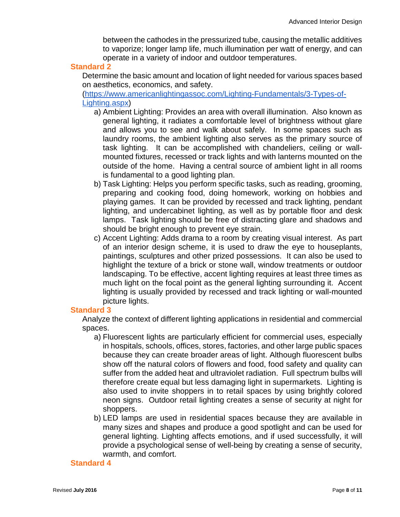between the cathodes in the pressurized tube, causing the metallic additives to vaporize; longer lamp life, much illumination per watt of energy, and can operate in a variety of indoor and outdoor temperatures.

#### **Standard 2**

Determine the basic amount and location of light needed for various spaces based on aesthetics, economics, and safety.

[\(https://www.americanlightingassoc.com/Lighting-Fundamentals/3-Types-of-](https://www.americanlightingassoc.com/Lighting-Fundamentals/3-Types-of-Lighting.aspx)[Lighting.aspx\)](https://www.americanlightingassoc.com/Lighting-Fundamentals/3-Types-of-Lighting.aspx)

- a) Ambient Lighting: Provides an area with overall illumination. Also known as general lighting, it radiates a comfortable level of brightness without glare and allows you to see and walk about safely. In some spaces such as laundry rooms, the ambient lighting also serves as the primary source of task lighting. It can be accomplished with chandeliers, ceiling or wallmounted fixtures, recessed or track lights and with lanterns mounted on the outside of the home. Having a central source of ambient light in all rooms is fundamental to a good lighting plan.
- b) Task Lighting: Helps you perform specific tasks, such as reading, grooming, preparing and cooking food, doing homework, working on hobbies and playing games. It can be provided by recessed and track lighting, pendant lighting, and undercabinet lighting, as well as by portable floor and desk lamps. Task lighting should be free of distracting glare and shadows and should be bright enough to prevent eye strain.
- c) Accent Lighting: Adds drama to a room by creating visual interest. As part of an interior design scheme, it is used to draw the eye to houseplants, paintings, sculptures and other prized possessions. It can also be used to highlight the texture of a brick or stone wall, window treatments or outdoor landscaping. To be effective, accent lighting requires at least three times as much light on the focal point as the general lighting surrounding it. Accent lighting is usually provided by recessed and track lighting or wall-mounted picture lights.

#### **Standard 3**

Analyze the context of different lighting applications in residential and commercial spaces.

- a) Fluorescent lights are particularly efficient for commercial uses, especially in hospitals, schools, offices, stores, factories, and other large public spaces because they can create broader areas of light. Although fluorescent bulbs show off the natural colors of flowers and food, food safety and quality can suffer from the added heat and ultraviolet radiation. Full spectrum bulbs will therefore create equal but less damaging light in supermarkets. Lighting is also used to invite shoppers in to retail spaces by using brightly colored neon signs. Outdoor retail lighting creates a sense of security at night for shoppers.
- b) LED lamps are used in residential spaces because they are available in many sizes and shapes and produce a good spotlight and can be used for general lighting. Lighting affects emotions, and if used successfully, it will provide a psychological sense of well-being by creating a sense of security, warmth, and comfort.

#### **Standard 4**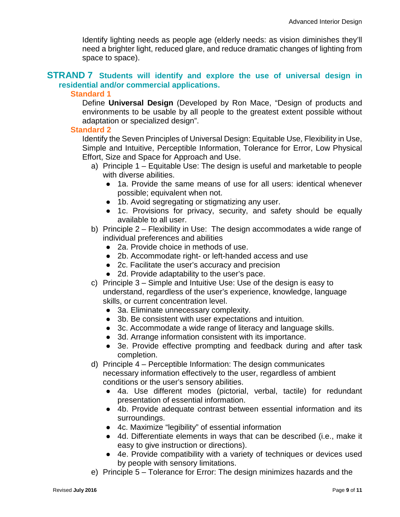Identify lighting needs as people age (elderly needs: as vision diminishes they'll need a brighter light, reduced glare, and reduce dramatic changes of lighting from space to space).

#### **STRAND 7 Students will identify and explore the use of universal design in residential and/or commercial applications.**

#### **Standard 1**

Define **Universal Design** (Developed by Ron Mace, "Design of products and environments to be usable by all people to the greatest extent possible without adaptation or specialized design".

#### **Standard 2**

Identify the Seven Principles of Universal Design: Equitable Use, Flexibility in Use, Simple and Intuitive, Perceptible Information, Tolerance for Error, Low Physical Effort, Size and Space for Approach and Use.

- a) Principle 1 Equitable Use: The design is useful and marketable to people with diverse abilities.
	- 1a. Provide the same means of use for all users: identical whenever possible; equivalent when not.
	- 1b. Avoid segregating or stigmatizing any user.
	- 1c. Provisions for privacy, security, and safety should be equally available to all user.
- b) Principle 2 Flexibility in Use: The design accommodates a wide range of individual preferences and abilities
	- 2a. Provide choice in methods of use.
	- 2b. Accommodate right- or left-handed access and use
	- 2c. Facilitate the user's accuracy and precision
	- 2d. Provide adaptability to the user's pace.
- c) Principle 3 Simple and Intuitive Use: Use of the design is easy to understand, regardless of the user's experience, knowledge, language skills, or current concentration level.
	- 3a. Eliminate unnecessary complexity.
	- 3b. Be consistent with user expectations and intuition.
	- 3c. Accommodate a wide range of literacy and language skills.
	- 3d. Arrange information consistent with its importance.
	- 3e. Provide effective prompting and feedback during and after task completion.
- d) Principle 4 Perceptible Information: The design communicates necessary information effectively to the user, regardless of ambient conditions or the user's sensory abilities.
	- 4a. Use different modes (pictorial, verbal, tactile) for redundant presentation of essential information.
	- 4b. Provide adequate contrast between essential information and its surroundings.
	- 4c. Maximize "legibility" of essential information
	- 4d. Differentiate elements in ways that can be described (i.e., make it easy to give instruction or directions).
	- 4e. Provide compatibility with a variety of techniques or devices used by people with sensory limitations.
- e) Principle 5 Tolerance for Error: The design minimizes hazards and the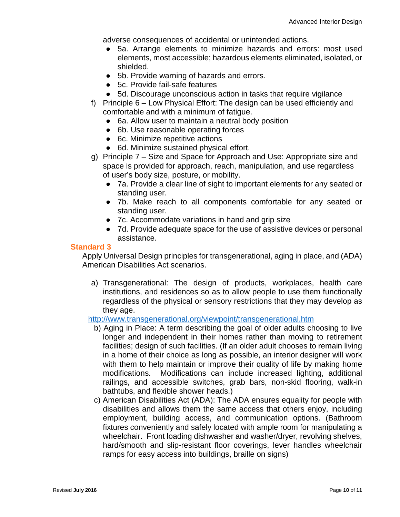adverse consequences of accidental or unintended actions.

- 5a. Arrange elements to minimize hazards and errors: most used elements, most accessible; hazardous elements eliminated, isolated, or shielded.
- 5b. Provide warning of hazards and errors.
- 5c. Provide fail-safe features
- 5d. Discourage unconscious action in tasks that require vigilance
- f) Principle 6 Low Physical Effort: The design can be used efficiently and comfortable and with a minimum of fatigue.
	- 6a. Allow user to maintain a neutral body position
	- 6b. Use reasonable operating forces
	- 6c. Minimize repetitive actions
	- 6d. Minimize sustained physical effort.
- g) Principle 7 Size and Space for Approach and Use: Appropriate size and space is provided for approach, reach, manipulation, and use regardless of user's body size, posture, or mobility.
	- 7a. Provide a clear line of sight to important elements for any seated or standing user.
	- 7b. Make reach to all components comfortable for any seated or standing user.
	- 7c. Accommodate variations in hand and grip size
	- 7d. Provide adequate space for the use of assistive devices or personal assistance.

#### **Standard 3**

Apply Universal Design principles for transgenerational, aging in place, and (ADA) American Disabilities Act scenarios.

a) Transgenerational: The design of products, workplaces, health care institutions, and residences so as to allow people to use them functionally regardless of the physical or sensory restrictions that they may develop as they age.

#### <http://www.transgenerational.org/viewpoint/transgenerational.htm>

- b) Aging in Place: A term describing the goal of older adults choosing to live longer and independent in their homes rather than moving to retirement facilities; design of such facilities. (If an older adult chooses to remain living in a home of their choice as long as possible, an interior designer will work with them to help maintain or improve their quality of life by making home modifications. Modifications can include increased lighting, additional railings, and accessible switches, grab bars, non-skid flooring, walk-in bathtubs, and flexible shower heads.)
- c) American Disabilities Act (ADA): The ADA ensures equality for people with disabilities and allows them the same access that others enjoy, including employment, building access, and communication options. (Bathroom fixtures conveniently and safely located with ample room for manipulating a wheelchair. Front loading dishwasher and washer/dryer, revolving shelves, hard/smooth and slip-resistant floor coverings, lever handles wheelchair ramps for easy access into buildings, braille on signs)